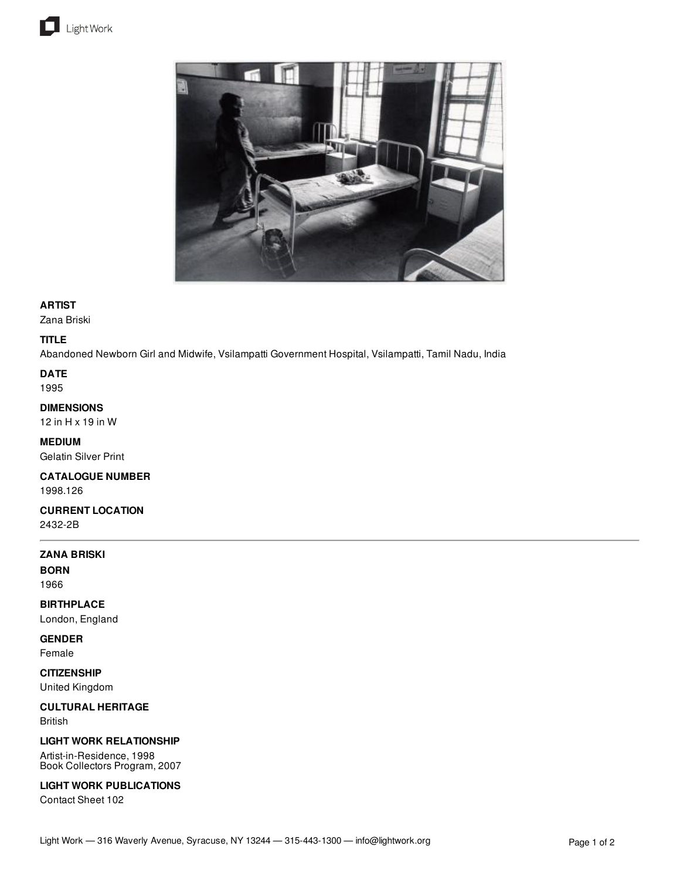



## **ARTIST**

Zana Briski

## **TITLE**

Abandoned Newborn Girl and Midwife, Vsilampatti Government Hospital, Vsilampatti, Tamil Nadu, India

**DATE** 1995

**DIMENSIONS**

12 in H x 19 in W

**MEDIUM** Gelatin Silver Print

**CATALOGUE NUMBER** 1998.126

**CURRENT LOCATION** 2432-2B

**ZANA BRISKI**

**BORN** 1966

**BIRTHPLACE** London, England

**GENDER**

Female

**CITIZENSHIP** United Kingdom

**CULTURAL HERITAGE** British

**LIGHT WORK RELATIONSHIP**

Artist-in-Residence, 1998 Book Collectors Program, 2007

**LIGHT WORK PUBLICATIONS**

Contact Sheet 102